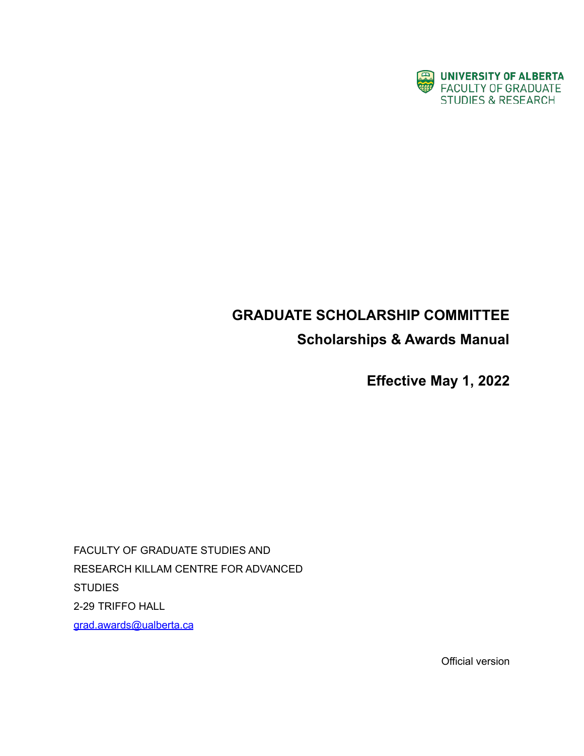

# **GRADUATE SCHOLARSHIP COMMITTEE**

# **Scholarships & Awards Manual**

**Effective May 1, 2022**

FACULTY OF GRADUATE STUDIES AND RESEARCH KILLAM CENTRE FOR ADVANCED **STUDIES** 2-29 TRIFFO HALL [grad.awards@ualberta.ca](mailto:grad.awards@ualberta.ca)

Official version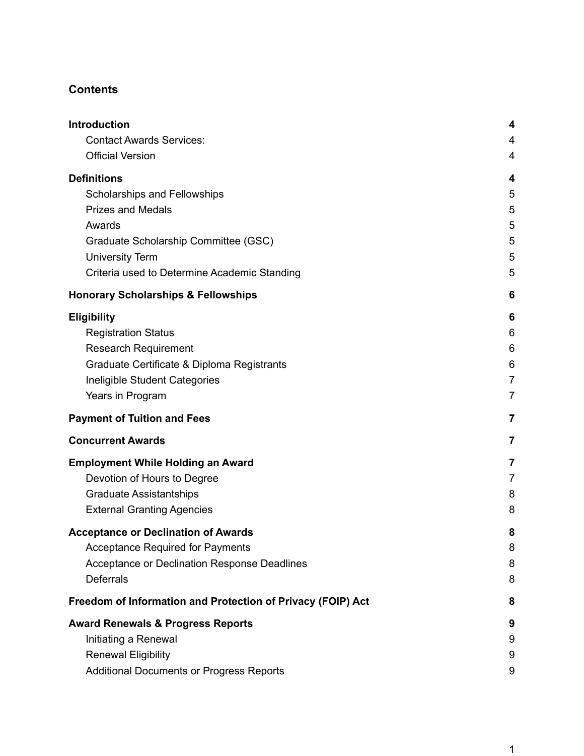# **Contents**

| <b>Introduction</b>                                         | 4              |
|-------------------------------------------------------------|----------------|
| <b>Contact Awards Services:</b>                             | 4              |
| <b>Official Version</b>                                     | 4              |
| <b>Definitions</b>                                          | 4              |
| Scholarships and Fellowships                                | 5              |
| <b>Prizes and Medals</b>                                    | 5              |
| Awards                                                      | 5              |
| Graduate Scholarship Committee (GSC)                        | 5              |
| <b>University Term</b>                                      | 5              |
| Criteria used to Determine Academic Standing                | 5              |
| <b>Honorary Scholarships &amp; Fellowships</b>              | 6              |
| <b>Eligibility</b>                                          | 6              |
| <b>Registration Status</b>                                  | 6              |
| <b>Research Requirement</b>                                 | 6              |
| Graduate Certificate & Diploma Registrants                  | 6              |
| Ineligible Student Categories                               | $\overline{7}$ |
| Years in Program                                            | 7              |
| <b>Payment of Tuition and Fees</b>                          | 7              |
| <b>Concurrent Awards</b>                                    | 7              |
| <b>Employment While Holding an Award</b>                    | 7              |
| Devotion of Hours to Degree                                 | 7              |
| <b>Graduate Assistantships</b>                              | 8              |
| <b>External Granting Agencies</b>                           | 8              |
| <b>Acceptance or Declination of Awards</b>                  | 8              |
| <b>Acceptance Required for Payments</b>                     | 8              |
| Acceptance or Declination Response Deadlines                | 8              |
| <b>Deferrals</b>                                            | 8              |
| Freedom of Information and Protection of Privacy (FOIP) Act | 8              |
| <b>Award Renewals &amp; Progress Reports</b>                | 9              |
| Initiating a Renewal                                        | 9              |
| <b>Renewal Eligibility</b>                                  | 9              |
| Additional Documents or Progress Reports                    | 9              |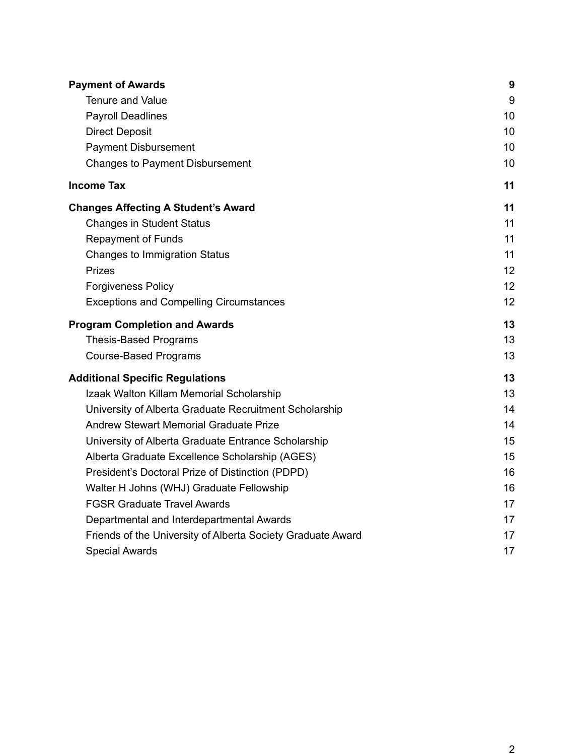| <b>Payment of Awards</b>                                    | 9  |
|-------------------------------------------------------------|----|
| Tenure and Value                                            | 9  |
| <b>Payroll Deadlines</b>                                    | 10 |
| <b>Direct Deposit</b>                                       | 10 |
| <b>Payment Disbursement</b>                                 | 10 |
| <b>Changes to Payment Disbursement</b>                      | 10 |
| <b>Income Tax</b>                                           | 11 |
| <b>Changes Affecting A Student's Award</b>                  | 11 |
| <b>Changes in Student Status</b>                            | 11 |
| <b>Repayment of Funds</b>                                   | 11 |
| <b>Changes to Immigration Status</b>                        | 11 |
| <b>Prizes</b>                                               | 12 |
| <b>Forgiveness Policy</b>                                   | 12 |
| <b>Exceptions and Compelling Circumstances</b>              | 12 |
| <b>Program Completion and Awards</b>                        | 13 |
| <b>Thesis-Based Programs</b>                                | 13 |
| <b>Course-Based Programs</b>                                | 13 |
| <b>Additional Specific Regulations</b>                      | 13 |
| Izaak Walton Killam Memorial Scholarship                    | 13 |
| University of Alberta Graduate Recruitment Scholarship      | 14 |
| <b>Andrew Stewart Memorial Graduate Prize</b>               | 14 |
| University of Alberta Graduate Entrance Scholarship         | 15 |
| Alberta Graduate Excellence Scholarship (AGES)              | 15 |
| President's Doctoral Prize of Distinction (PDPD)            | 16 |
| Walter H Johns (WHJ) Graduate Fellowship                    | 16 |
| <b>FGSR Graduate Travel Awards</b>                          | 17 |
| Departmental and Interdepartmental Awards                   | 17 |
| Friends of the University of Alberta Society Graduate Award | 17 |
| <b>Special Awards</b>                                       | 17 |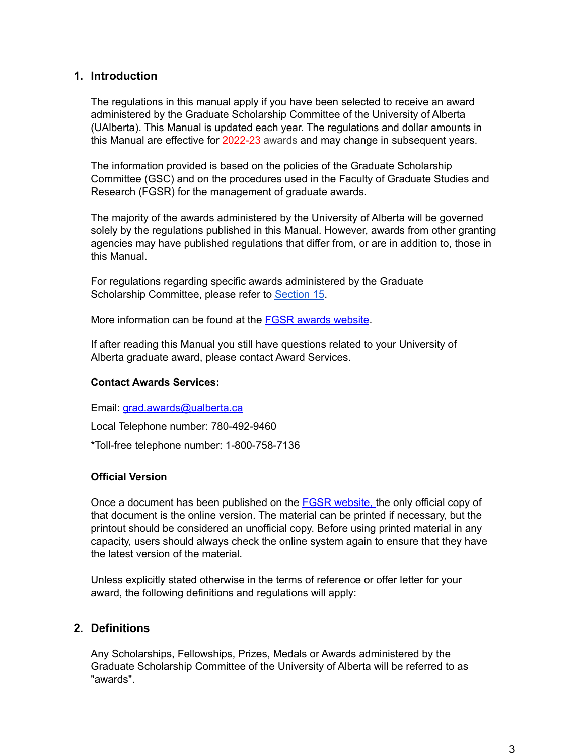#### <span id="page-3-0"></span>**1. Introduction**

The regulations in this manual apply if you have been selected to receive an award administered by the Graduate Scholarship Committee of the University of Alberta (UAlberta). This Manual is updated each year. The regulations and dollar amounts in this Manual are effective for 2022-23 awards and may change in subsequent years.

The information provided is based on the policies of the Graduate Scholarship Committee (GSC) and on the procedures used in the Faculty of Graduate Studies and Research (FGSR) for the management of graduate awards.

The majority of the awards administered by the University of Alberta will be governed solely by the regulations published in this Manual. However, awards from other granting agencies may have published regulations that differ from, or are in addition to, those in this Manual.

For regulations regarding specific awards administered by the Graduate Scholarship Committee, please refer to [Section](#page-12-3) 15.

More information can be found at the FGSR awards [website](https://www.ualberta.ca/graduate-studies/awards-and-funding).

If after reading this Manual you still have questions related to your University of Alberta graduate award, please contact Award Services.

#### <span id="page-3-1"></span>**Contact Awards Services:**

Email: [grad.awards@ualberta.ca](mailto:grad.awards@ualberta.ca) Local Telephone number: 780-492-9460 \*Toll-free telephone number: 1-800-758-7136

#### <span id="page-3-2"></span>**Official Version**

Once a document has been published on the **FGSR website**, the only official copy of that document is the online version. The material can be printed if necessary, but the printout should be considered an unofficial copy. Before using printed material in any capacity, users should always check the online system again to ensure that they have the latest version of the material.

Unless explicitly stated otherwise in the terms of reference or offer letter for your award, the following definitions and regulations will apply:

# <span id="page-3-3"></span>**2. Definitions**

Any Scholarships, Fellowships, Prizes, Medals or Awards administered by the Graduate Scholarship Committee of the University of Alberta will be referred to as "awards".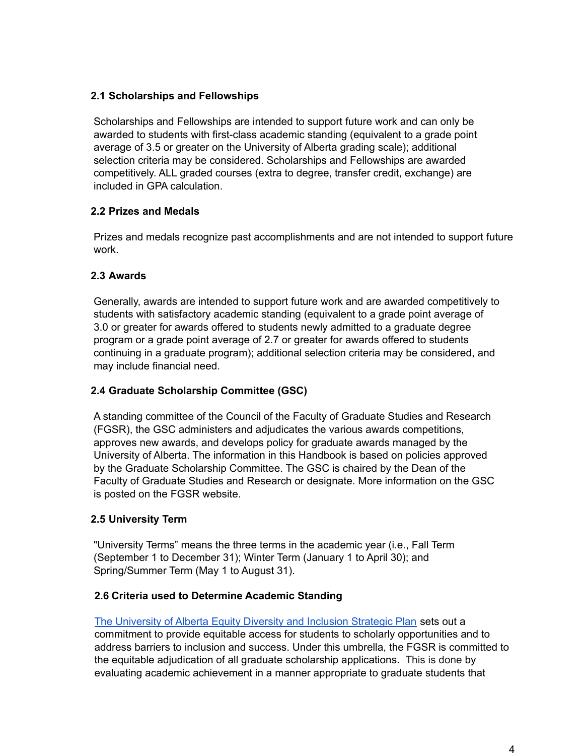#### <span id="page-4-0"></span>**2.1 Scholarships and Fellowships**

Scholarships and Fellowships are intended to support future work and can only be awarded to students with first-class academic standing (equivalent to a grade point average of 3.5 or greater on the University of Alberta grading scale); additional selection criteria may be considered. Scholarships and Fellowships are awarded competitively. ALL graded courses (extra to degree, transfer credit, exchange) are included in GPA calculation.

#### <span id="page-4-1"></span>**2.2 Prizes and Medals**

Prizes and medals recognize past accomplishments and are not intended to support future work.

#### <span id="page-4-2"></span>**2.3 Awards**

Generally, awards are intended to support future work and are awarded competitively to students with satisfactory academic standing (equivalent to a grade point average of 3.0 or greater for awards offered to students newly admitted to a graduate degree program or a grade point average of 2.7 or greater for awards offered to students continuing in a graduate program); additional selection criteria may be considered, and may include financial need.

#### <span id="page-4-3"></span>**2.4 Graduate Scholarship Committee (GSC)**

A standing committee of the Council of the Faculty of Graduate Studies and Research (FGSR), the GSC administers and adjudicates the various awards competitions, approves new awards, and develops policy for graduate awards managed by the University of Alberta. The information in this Handbook is based on policies approved by the Graduate Scholarship Committee. The GSC is chaired by the Dean of the Faculty of Graduate Studies and Research or designate. More information on the GSC is posted on the FGSR website.

#### <span id="page-4-4"></span>**2.5 University Term**

"University Terms" means the three terms in the academic year (i.e., Fall Term (September 1 to December 31); Winter Term (January 1 to April 30); and Spring/Summer Term (May 1 to August 31).

#### <span id="page-4-5"></span>**2.6 Criteria used to Determine Academic Standing**

The [University](https://www.ualberta.ca/equity-diversity-inclusivity/about/strategic-plan-for-edi/index.html) of Alberta Equity Diversity and Inclusion Strategic Plan sets out a commitment to provide equitable access for students to scholarly opportunities and to address barriers to inclusion and success. Under this umbrella, the FGSR is committed to the equitable adjudication of all graduate scholarship applications. This is done by evaluating academic achievement in a manner appropriate to graduate students that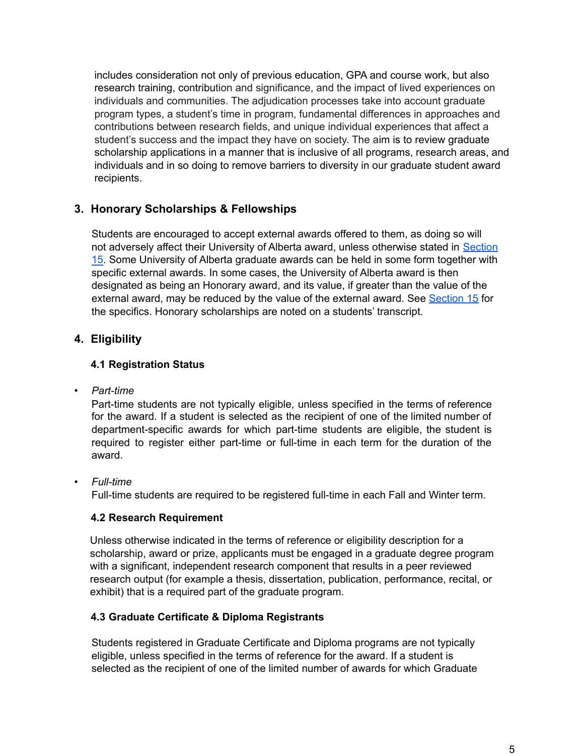includes consideration not only of previous education, GPA and course work, but also research training, contribution and significance, and the impact of lived experiences on individuals and communities. The adjudication processes take into account graduate program types, a student's time in program, fundamental differences in approaches and contributions between research fields, and unique individual experiences that affect a student's success and the impact they have on society. The aim is to review graduate scholarship applications in a manner that is inclusive of all programs, research areas, and individuals and in so doing to remove barriers to diversity in our graduate student award recipients.

# <span id="page-5-0"></span>**3. Honorary Scholarships & Fellowships**

Students are encouraged to accept external awards offered to them, as doing so will not adversely affect their University of Alberta award, unless otherwise stated in [Section](#page-12-3) [15](#page-12-3). Some University of Alberta graduate awards can be held in some form together with specific external awards. In some cases, the University of Alberta award is then designated as being an Honorary award, and its value, if greater than the value of the external award, may be reduced by the value of the external award. See [Section](#page-12-3) 15 for the specifics. Honorary scholarships are noted on a students' transcript.

# <span id="page-5-1"></span>**4. Eligibility**

#### <span id="page-5-2"></span>**4.1 Registration Status**

*• Part-time*

Part-time students are not typically eligible, unless specified in the terms of reference for the award. If a student is selected as the recipient of one of the limited number of department-specific awards for which part-time students are eligible, the student is required to register either part-time or full-time in each term for the duration of the award.

*• Full-time*

Full-time students are required to be registered full-time in each Fall and Winter term.

#### <span id="page-5-3"></span>**4.2 Research Requirement**

Unless otherwise indicated in the terms of reference or eligibility description for a scholarship, award or prize, applicants must be engaged in a graduate degree program with a significant, independent research component that results in a peer reviewed research output (for example a thesis, dissertation, publication, performance, recital, or exhibit) that is a required part of the graduate program.

#### <span id="page-5-4"></span>**4.3 Graduate Certificate & Diploma Registrants**

Students registered in Graduate Certificate and Diploma programs are not typically eligible, unless specified in the terms of reference for the award. If a student is selected as the recipient of one of the limited number of awards for which Graduate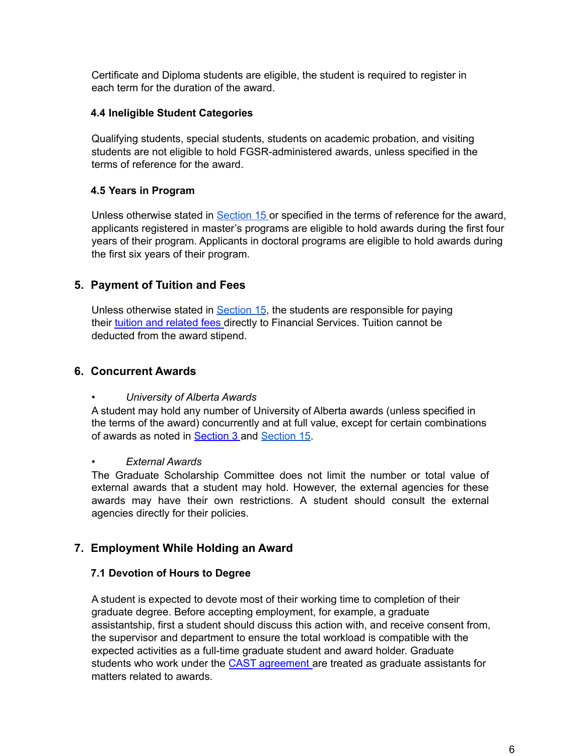Certificate and Diploma students are eligible, the student is required to register in each term for the duration of the award.

#### <span id="page-6-0"></span>**4.4 Ineligible Student Categories**

Qualifying students, special students, students on academic probation, and visiting students are not eligible to hold FGSR-administered awards, unless specified in the terms of reference for the award.

#### <span id="page-6-1"></span>**4.5 Years in Program**

Unless otherwise stated in [Section](#page-12-3) 15 or specified in the terms of reference for the award, applicants registered in master's programs are eligible to hold awards during the first four years of their program. Applicants in doctoral programs are eligible to hold awards during the first six years of their program.

# <span id="page-6-2"></span>**5. Payment of Tuition and Fees**

Unless otherwise stated in **[Section](#page-12-3) 15**, the students are responsible for paying their tuition and [related](https://www.ualberta.ca/graduate-studies/current-students/tuition-and-fees) fees directly to Financial Services. Tuition cannot be deducted from the award stipend.

#### <span id="page-6-3"></span>**6. Concurrent Awards**

#### *• University of Alberta Awards*

A student may hold any number of University of Alberta awards (unless specified in the terms of the award) concurrently and at full value, except for certain combinations of awards as noted in [Section](#page-12-3) 3 and Section 15.

#### *• External Awards*

The Graduate Scholarship Committee does not limit the number or total value of external awards that a student may hold. However, the external agencies for these awards may have their own restrictions. A student should consult the external agencies directly for their policies.

#### <span id="page-6-4"></span>**7. Employment While Holding an Award**

#### <span id="page-6-5"></span>**7.1 Devotion of Hours to Degree**

A student is expected to devote most of their working time to completion of their graduate degree. Before accepting employment, for example, a graduate assistantship, first a student should discuss this action with, and receive consent from, the supervisor and department to ensure the total workload is compatible with the expected activities as a full-time graduate student and award holder. Graduate students who work under the CAST [agreement](http://www.hrs.ualberta.ca/MyEmployment/Agreements.aspx) are treated as graduate assistants for matters related to awards.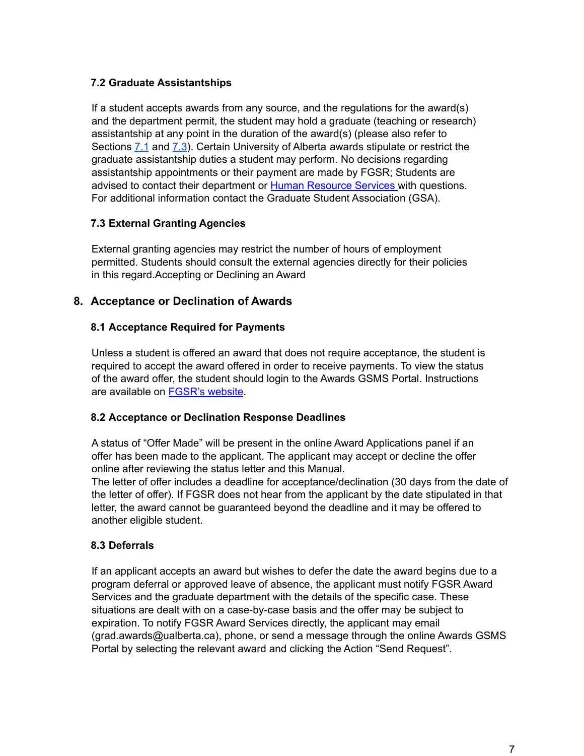#### <span id="page-7-0"></span>**7.2 Graduate Assistantships**

If a student accepts awards from any source, and the regulations for the award(s) and the department permit, the student may hold a graduate (teaching or research) assistantship at any point in the duration of the award(s) (please also refer to Sections [7.1](#page-6-5) and [7.3](#page-7-1)). Certain University of Alberta awards stipulate or restrict the graduate assistantship duties a student may perform. No decisions regarding assistantship appointments or their payment are made by FGSR; Students are advised to contact their department or Human [Resource](http://www.hrs.ualberta.ca/) Services with questions. For additional information contact the Graduate Student Association (GSA).

#### <span id="page-7-1"></span>**7.3 External Granting Agencies**

External granting agencies may restrict the number of hours of employment permitted. Students should consult the external agencies directly for their policies in this regard.Accepting or Declining an Award

#### <span id="page-7-2"></span>**8. Acceptance or Declination of Awards**

#### <span id="page-7-3"></span>**8.1 Acceptance Required for Payments**

Unless a student is offered an award that does not require acceptance, the student is required to accept the award offered in order to receive payments. To view the status of the award offer, the student should login to the Awards GSMS Portal. Instructions are available on [FGSR's](https://www.ualberta.ca/graduate-studies/awards-and-funding/award-resources) website.

#### <span id="page-7-4"></span>**8.2 Acceptance or Declination Response Deadlines**

A status of "Offer Made" will be present in the online Award Applications panel if an offer has been made to the applicant. The applicant may accept or decline the offer online after reviewing the status letter and this Manual.

The letter of offer includes a deadline for acceptance/declination (30 days from the date of the letter of offer). If FGSR does not hear from the applicant by the date stipulated in that letter, the award cannot be guaranteed beyond the deadline and it may be offered to another eligible student.

#### <span id="page-7-5"></span>**8.3 Deferrals**

If an applicant accepts an award but wishes to defer the date the award begins due to a program deferral or approved leave of absence, the applicant must notify FGSR Award Services and the graduate department with the details of the specific case. These situations are dealt with on a case-by-case basis and the offer may be subject to expiration. To notify FGSR Award Services directly, the applicant may email (grad.awards@ualberta.ca), phone, or send a message through the online Awards GSMS Portal by selecting the relevant award and clicking the Action "Send Request".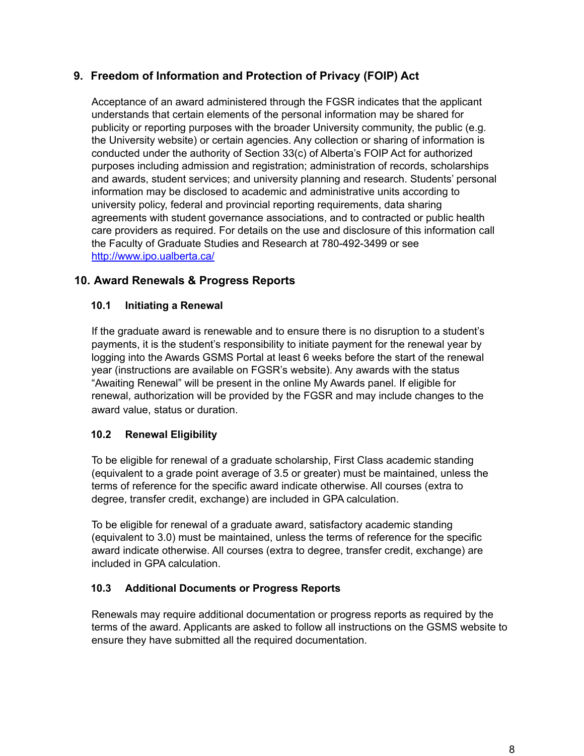# <span id="page-8-0"></span>**9. Freedom of Information and Protection of Privacy (FOIP) Act**

Acceptance of an award administered through the FGSR indicates that the applicant understands that certain elements of the personal information may be shared for publicity or reporting purposes with the broader University community, the public (e.g. the University website) or certain agencies. Any collection or sharing of information is conducted under the authority of Section 33(c) of Alberta's FOIP Act for authorized purposes including admission and registration; administration of records, scholarships and awards, student services; and university planning and research. Students' personal information may be disclosed to academic and administrative units according to university policy, federal and provincial reporting requirements, data sharing agreements with student governance associations, and to contracted or public health care providers as required. For details on the use and disclosure of this information call the Faculty of Graduate Studies and Research at 780-492-3499 or see <http://www.ipo.ualberta.ca/>

# <span id="page-8-1"></span>**10. Award Renewals & Progress Reports**

# <span id="page-8-2"></span>**10.1 Initiating a Renewal**

If the graduate award is renewable and to ensure there is no disruption to a student's payments, it is the student's responsibility to initiate payment for the renewal year by logging into the Awards GSMS Portal at least 6 weeks before the start of the renewal year (instructions are available on FGSR's website). Any awards with the status "Awaiting Renewal" will be present in the online My Awards panel. If eligible for renewal, authorization will be provided by the FGSR and may include changes to the award value, status or duration.

# <span id="page-8-3"></span>**10.2 Renewal Eligibility**

To be eligible for renewal of a graduate scholarship, First Class academic standing (equivalent to a grade point average of 3.5 or greater) must be maintained, unless the terms of reference for the specific award indicate otherwise. All courses (extra to degree, transfer credit, exchange) are included in GPA calculation.

To be eligible for renewal of a graduate award, satisfactory academic standing (equivalent to 3.0) must be maintained, unless the terms of reference for the specific award indicate otherwise. All courses (extra to degree, transfer credit, exchange) are included in GPA calculation.

#### <span id="page-8-4"></span>**10.3 Additional Documents or Progress Reports**

Renewals may require additional documentation or progress reports as required by the terms of the award. Applicants are asked to follow all instructions on the GSMS website to ensure they have submitted all the required documentation.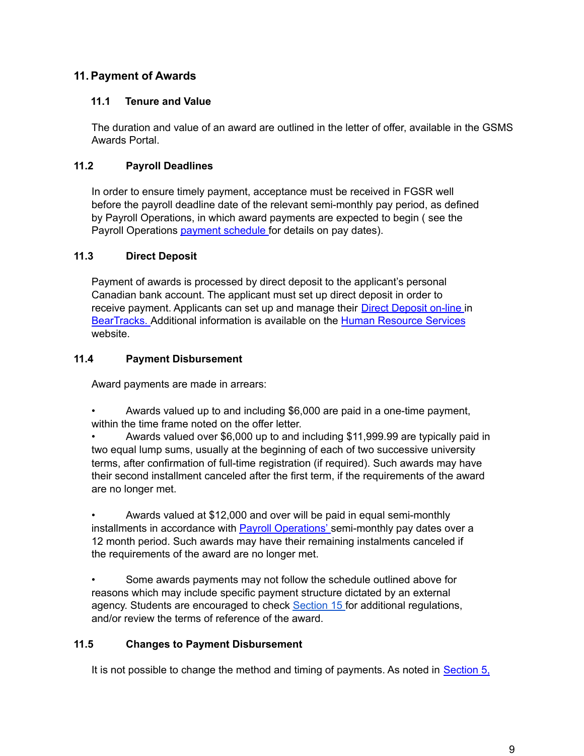# <span id="page-9-0"></span>**11.Payment of Awards**

#### <span id="page-9-1"></span>**11.1 Tenure and Value**

The duration and value of an award are outlined in the letter of offer, available in the GSMS Awards Portal.

# <span id="page-9-2"></span>**11.2 Payroll Deadlines**

In order to ensure timely payment, acceptance must be received in FGSR well before the payroll deadline date of the relevant semi-monthly pay period, as defined by Payroll Operations, in which award payments are expected to begin ( see the Payroll Operations payment [schedule](https://www.ualberta.ca/human-resource-services/managing-administration/employment-benefits-and-pay-administration/pay-period-schedules.html) for details on pay dates).

#### <span id="page-9-3"></span>**11.3 Direct Deposit**

Payment of awards is processed by direct deposit to the applicant's personal Canadian bank account. The applicant must set up direct deposit in order to receive payment. Applicants can set up and manage their Direct [Deposit](https://www.ualberta.ca/faculty-and-staff/pay-tax-information/direct-deposit) on-line in [BearTracks.](https://www.beartracks.ualberta.ca/) Additional information is available on the Human [Resource](https://www.ualberta.ca/human-resource-services/index.html) Services website.

# <span id="page-9-4"></span>**11.4 Payment Disbursement**

Award payments are made in arrears:

• Awards valued up to and including \$6,000 are paid in a one-time payment, within the time frame noted on the offer letter.

• Awards valued over \$6,000 up to and including \$11,999.99 are typically paid in two equal lump sums, usually at the beginning of each of two successive university terms, after confirmation of full-time registration (if required). Such awards may have their second installment canceled after the first term, if the requirements of the award are no longer met.

• Awards valued at \$12,000 and over will be paid in equal semi-monthly installments in accordance with Payroll [Operations'](https://www.ualberta.ca/human-resource-services/managing-administration/employment-benefits-and-pay-administration/pay-period-schedules.html) semi-monthly pay dates over a 12 month period. Such awards may have their remaining instalments canceled if the requirements of the award are no longer met.

Some awards payments may not follow the schedule outlined above for reasons which may include specific payment structure dictated by an external agency. Students are encouraged to check [Section](#page-12-3) 15 for additional regulations, and/or review the terms of reference of the award.

#### <span id="page-9-5"></span>**11.5 Changes to Payment Disbursement**

It is not possible to change the method and timing of payments. As noted in [Section](#page-6-2) 5,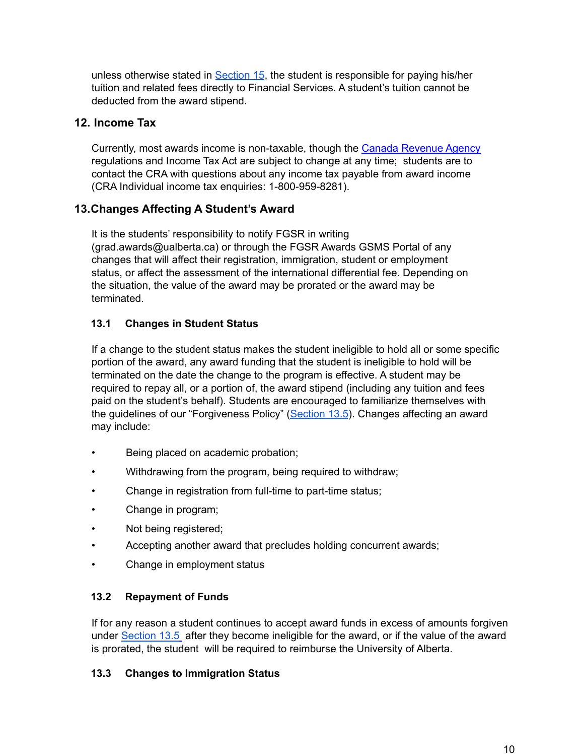unless otherwise stated in [Section](#page-12-3) 15, the student is responsible for paying his/her tuition and related fees directly to Financial Services. A student's tuition cannot be deducted from the award stipend.

# <span id="page-10-0"></span>**12. Income Tax**

Currently, most awards income is non-taxable, though the Canada [Revenue](http://www.cra-arc.gc.ca/menu-eng.html) Agency regulations and Income Tax Act are subject to change at any time; students are to contact the CRA with questions about any income tax payable from award income (CRA Individual income tax enquiries: 1-800-959-8281).

# <span id="page-10-1"></span>**13.Changes Affecting A Student's Award**

It is the students' responsibility to notify FGSR in writing (grad.awards@ualberta.ca) or through the FGSR Awards GSMS Portal of any changes that will affect their registration, immigration, student or employment status, or affect the assessment of the international differential fee. Depending on the situation, the value of the award may be prorated or the award may be terminated.

# <span id="page-10-2"></span>**13.1 Changes in Student Status**

If a change to the student status makes the student ineligible to hold all or some specific portion of the award, any award funding that the student is ineligible to hold will be terminated on the date the change to the program is effective. A student may be required to repay all, or a portion of, the award stipend (including any tuition and fees paid on the student's behalf). Students are encouraged to familiarize themselves with the guidelines of our "Forgiveness Policy" [\(Section](#page-11-1) 13.5). Changes affecting an award may include:

- Being placed on academic probation;
- Withdrawing from the program, being required to withdraw;
- Change in registration from full-time to part-time status;
- Change in program;
- Not being registered;
- Accepting another award that precludes holding concurrent awards;
- Change in employment status

#### <span id="page-10-3"></span>**13.2 Repayment of Funds**

If for any reason a student continues to accept award funds in excess of amounts forgiven under [Section](#page-11-1) 13.5 after they become ineligible for the award, or if the value of the award is prorated, the student will be required to reimburse the University of Alberta.

#### <span id="page-10-4"></span>**13.3 Changes to Immigration Status**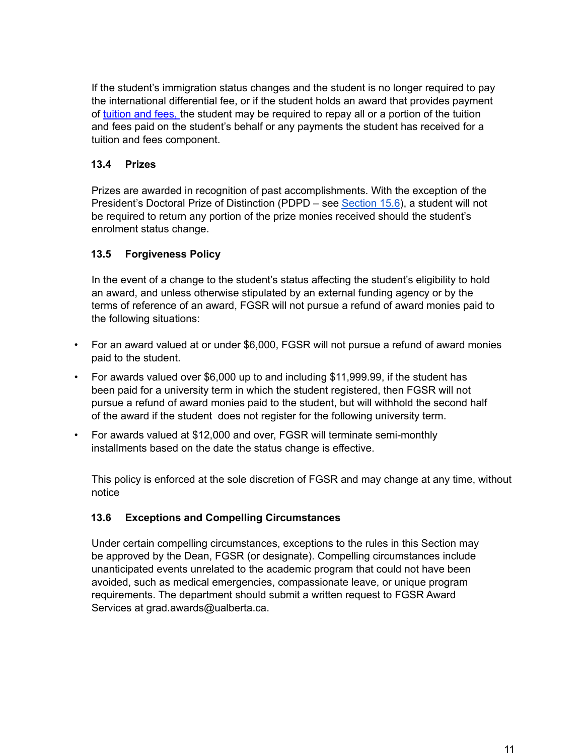If the student's immigration status changes and the student is no longer required to pay the international differential fee, or if the student holds an award that provides payment of [tuition](http://uofa.ualberta.ca/graduate-studies/current-students/tuition-and-fees) and fees, the student may be required to repay all or a portion of the tuition and fees paid on the student's behalf or any payments the student has received for a tuition and fees component.

# <span id="page-11-0"></span>**13.4 Prizes**

Prizes are awarded in recognition of past accomplishments. With the exception of the President's Doctoral Prize of Distinction (PDPD – see [Section](#page-15-0) 15.6), a student will not be required to return any portion of the prize monies received should the student's enrolment status change.

# <span id="page-11-1"></span>**13.5 Forgiveness Policy**

In the event of a change to the student's status affecting the student's eligibility to hold an award, and unless otherwise stipulated by an external funding agency or by the terms of reference of an award, FGSR will not pursue a refund of award monies paid to the following situations:

- For an award valued at or under \$6,000, FGSR will not pursue a refund of award monies paid to the student.
- For awards valued over \$6,000 up to and including \$11,999.99, if the student has been paid for a university term in which the student registered, then FGSR will not pursue a refund of award monies paid to the student, but will withhold the second half of the award if the student does not register for the following university term.
- For awards valued at \$12,000 and over, FGSR will terminate semi-monthly installments based on the date the status change is effective.

This policy is enforced at the sole discretion of FGSR and may change at any time, without notice

# <span id="page-11-2"></span>**13.6 Exceptions and Compelling Circumstances**

Under certain compelling circumstances, exceptions to the rules in this Section may be approved by the Dean, FGSR (or designate). Compelling circumstances include unanticipated events unrelated to the academic program that could not have been avoided, such as medical emergencies, compassionate leave, or unique program requirements. The department should submit a written request to FGSR Award Services at [grad.awards@ualberta.ca.](mailto:grad.awards@ualberta.ca)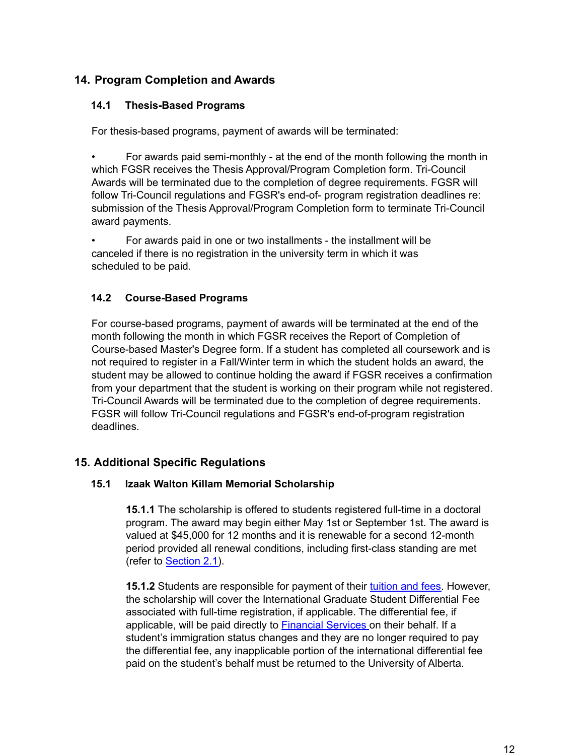# <span id="page-12-0"></span>**14. Program Completion and Awards**

#### <span id="page-12-1"></span>**14.1 Thesis-Based Programs**

For thesis-based programs, payment of awards will be terminated:

• For awards paid semi-monthly - at the end of the month following the month in which FGSR receives the Thesis Approval/Program Completion form. Tri-Council Awards will be terminated due to the completion of degree requirements. FGSR will follow Tri-Council regulations and FGSR's end-of- program registration deadlines re: submission of the Thesis Approval/Program Completion form to terminate Tri-Council award payments.

• For awards paid in one or two installments - the installment will be canceled if there is no registration in the university term in which it was scheduled to be paid.

# <span id="page-12-2"></span>**14.2 Course-Based Programs**

For course-based programs, payment of awards will be terminated at the end of the month following the month in which FGSR receives the Report of Completion of Course-based Master's Degree form. If a student has completed all coursework and is not required to register in a Fall/Winter term in which the student holds an award, the student may be allowed to continue holding the award if FGSR receives a confirmation from your department that the student is working on their program while not registered. Tri-Council Awards will be terminated due to the completion of degree requirements. FGSR will follow Tri-Council regulations and FGSR's end-of-program registration deadlines.

# <span id="page-12-4"></span><span id="page-12-3"></span>**15. Additional Specific Regulations**

#### **15.1 Izaak Walton Killam Memorial Scholarship**

**15.1.1** The scholarship is offered to students registered full-time in a doctoral program. The award may begin either May 1st or September 1st. The award is valued at \$45,000 for 12 months and it is renewable for a second 12-month period provided all renewal conditions, including first-class standing are met (refer to [Section](#page-4-0) 2.1).

**15.1.2** Students are responsible for payment of their [tuition](https://www.ualberta.ca/graduate-studies/current-students/tuition-and-fees) and fees. However, the scholarship will cover the International Graduate Student Differential Fee associated with full-time registration, if applicable. The differential fee, if applicable, will be paid directly to [Financial](http://www.financial.ualberta.ca/en/StudentTuitionPaymentOptions.aspx) Services on their behalf. If a student's immigration status changes and they are no longer required to pay the differential fee, any inapplicable portion of the international differential fee paid on the student's behalf must be returned to the University of Alberta.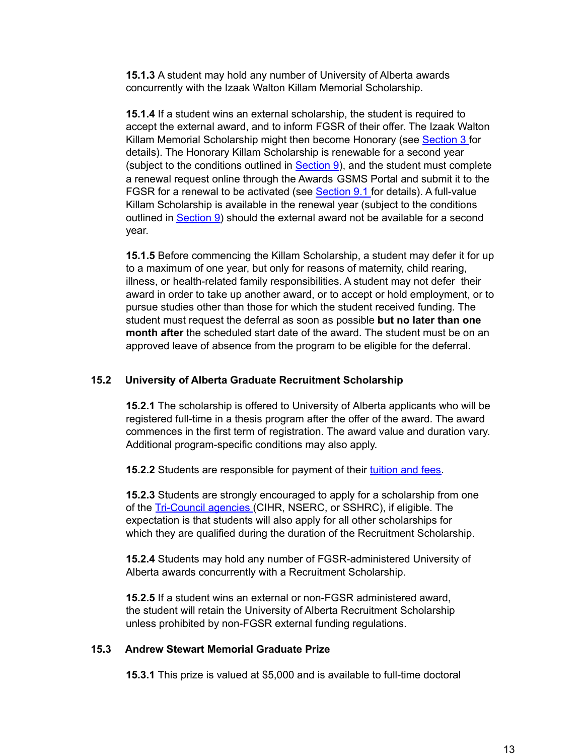**15.1.3** A student may hold any number of University of Alberta awards concurrently with the Izaak Walton Killam Memorial Scholarship.

**15.1.4** If a student wins an external scholarship, the student is required to accept the external award, and to inform FGSR of their offer. The Izaak Walton Killam Memorial Scholarship might then become Honorary (see [Section](#page-5-0) 3 for details). The Honorary Killam Scholarship is renewable for a second year (subject to the conditions outlined in [Section](#page-8-1) 9), and the student must complete a renewal request online through the Awards GSMS Portal and submit it to the FGSR for a renewal to be activated (see [Section](#page-8-2) 9.1 for details). A full-value Killam Scholarship is available in the renewal year (subject to the conditions outlined in [Section](#page-8-1) 9) should the external award not be available for a second year.

**15.1.5** Before commencing the Killam Scholarship, a student may defer it for up to a maximum of one year, but only for reasons of maternity, child rearing, illness, or health-related family responsibilities. A student may not defer their award in order to take up another award, or to accept or hold employment, or to pursue studies other than those for which the student received funding. The student must request the deferral as soon as possible **but no later than one month after** the scheduled start date of the award. The student must be on an approved leave of absence from the program to be eligible for the deferral.

#### <span id="page-13-0"></span>**15.2 University of Alberta Graduate Recruitment Scholarship**

**15.2.1** The scholarship is offered to University of Alberta applicants who will be registered full-time in a thesis program after the offer of the award. The award commences in the first term of registration. The award value and duration vary. Additional program-specific conditions may also apply.

**15.2.2** Students are responsible for payment of their [tuition](https://www.ualberta.ca/graduate-studies/current-students/tuition-and-fees) and fees.

**15.2.3** Students are strongly encouraged to apply for a scholarship from one of the [Tri-Council](http://www.nserc-crsng.gc.ca/Students-Etudiants/CGSHarmonization-HarmonizationBESC_eng.asp) agencies (CIHR, NSERC, or SSHRC), if eligible. The expectation is that students will also apply for all other scholarships for which they are qualified during the duration of the Recruitment Scholarship.

**15.2.4** Students may hold any number of FGSR-administered University of Alberta awards concurrently with a Recruitment Scholarship.

**15.2.5** If a student wins an external or non-FGSR administered award, the student will retain the University of Alberta Recruitment Scholarship unless prohibited by non-FGSR external funding regulations.

#### <span id="page-13-1"></span>**15.3 Andrew Stewart Memorial Graduate Prize**

**15.3.1** This prize is valued at \$5,000 and is available to full-time doctoral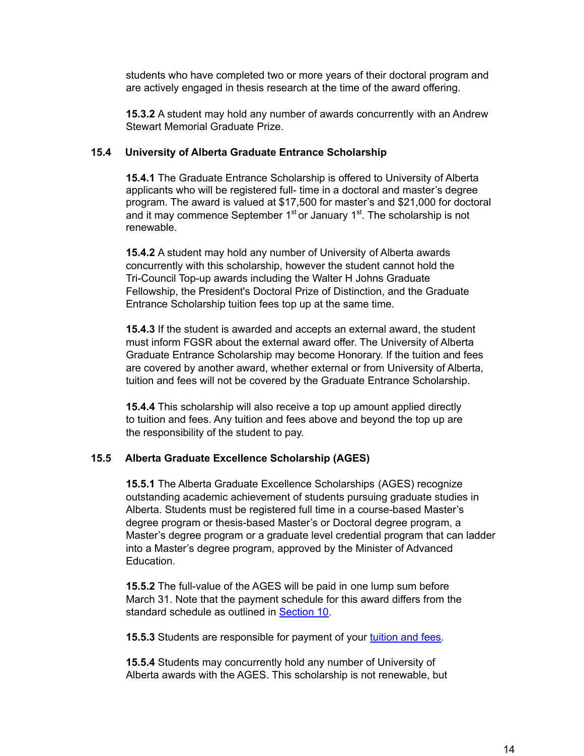students who have completed two or more years of their doctoral program and are actively engaged in thesis research at the time of the award offering.

**15.3.2** A student may hold any number of awards concurrently with an Andrew Stewart Memorial Graduate Prize.

#### <span id="page-14-0"></span>**15.4 University of Alberta Graduate Entrance Scholarship**

**15.4.1** The Graduate Entrance Scholarship is offered to University of Alberta applicants who will be registered full- time in a doctoral and master's degree program. The award is valued at \$17,500 for master's and \$21,000 for doctoral and it may commence September 1<sup>st</sup> or January 1<sup>st</sup>. The scholarship is not renewable.

**15.4.2** A student may hold any number of University of Alberta awards concurrently with this scholarship, however the student cannot hold the Tri-Council Top-up awards including the Walter H Johns Graduate Fellowship, the President's Doctoral Prize of Distinction, and the Graduate Entrance Scholarship tuition fees top up at the same time.

**15.4.3** If the student is awarded and accepts an external award, the student must inform FGSR about the external award offer. The University of Alberta Graduate Entrance Scholarship may become Honorary. If the tuition and fees are covered by another award, whether external or from University of Alberta, tuition and fees will not be covered by the Graduate Entrance Scholarship.

**15.4.4** This scholarship will also receive a top up amount applied directly to tuition and fees. Any tuition and fees above and beyond the top up are the responsibility of the student to pay.

#### <span id="page-14-1"></span>**15.5 Alberta Graduate Excellence Scholarship (AGES)**

**15.5.1** The Alberta Graduate Excellence Scholarships (AGES) recognize outstanding academic achievement of students pursuing graduate studies in Alberta. Students must be registered full time in a course-based Master's degree program or thesis-based Master's or Doctoral degree program, a Master's degree program or a graduate level credential program that can ladder into a Master's degree program, approved by the Minister of Advanced Education.

**15.5.2** The full-value of the AGES will be paid in one lump sum before March 31. Note that the payment schedule for this award differs from the standard schedule as outlined in [Section](#page-9-0) 10.

**15.5.3** Students are responsible for payment of your [tuition](https://www.ualberta.ca/graduate-studies/current-students/tuition-and-fees) and fees.

**15.5.4** Students may concurrently hold any number of University of Alberta awards with the AGES. This scholarship is not renewable, but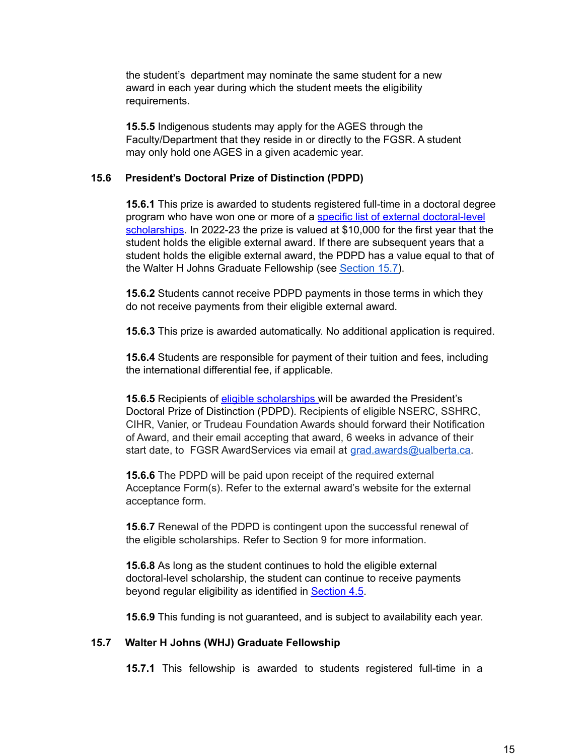the student's department may nominate the same student for a new award in each year during which the student meets the eligibility requirements.

**15.5.5** Indigenous students may apply for the AGES through the Faculty/Department that they reside in or directly to the FGSR. A student may only hold one AGES in a given academic year.

#### <span id="page-15-0"></span>**15.6 President's Doctoral Prize of Distinction (PDPD)**

**15.6.1** This prize is awarded to students registered full-time in a doctoral degree program who have won one or more of a specific list of external [doctoral-level](https://www.ualberta.ca/graduate-studies/awards-and-funding/scholarships/top-up-awards) [scholarships](https://www.ualberta.ca/graduate-studies/awards-and-funding/scholarships/top-up-awards). In 2022-23 the prize is valued at \$10,000 for the first year that the student holds the eligible external award. If there are subsequent years that a student holds the eligible external award, the PDPD has a value equal to that of the Walter H Johns Graduate Fellowship (see [Section](#page-15-1) 15.7).

**15.6.2** Students cannot receive PDPD payments in those terms in which they do not receive payments from their eligible external award.

**15.6.3** This prize is awarded automatically. No additional application is required.

**15.6.4** Students are responsible for payment of their tuition and fees, including the international differential fee, if applicable.

**15.6.5** Recipients of **eligible [scholarships](https://www.ualberta.ca/graduate-studies/awards-and-funding/scholarships/top-up-awards)** will be awarded the President's Doctoral Prize of Distinction (PDPD). Recipients of eligible NSERC, SSHRC, CIHR, Vanier, or Trudeau Foundation Awards should forward their Notification of Award, and their email accepting that award, 6 weeks in advance of their start date, to FGSR AwardServices via email at [grad.awards@ualberta.ca.](mailto:grad.awards@ualberta.ca)

**15.6.6** The PDPD will be paid upon receipt of the required external Acceptance Form(s). Refer to the external award's website for the external acceptance form.

**15.6.7** Renewal of the PDPD is contingent upon the successful renewal of the eligible scholarships. Refer to Section 9 for more information.

**15.6.8** As long as the student continues to hold the eligible external doctoral-level scholarship, the student can continue to receive payments beyond regular eligibility as identified in [Section](#page-5-1) 4.5.

**15.6.9** This funding is not guaranteed, and is subject to availability each year.

#### <span id="page-15-1"></span>**15.7 Walter H Johns (WHJ) Graduate Fellowship**

**15.7.1** This fellowship is awarded to students registered full-time in a